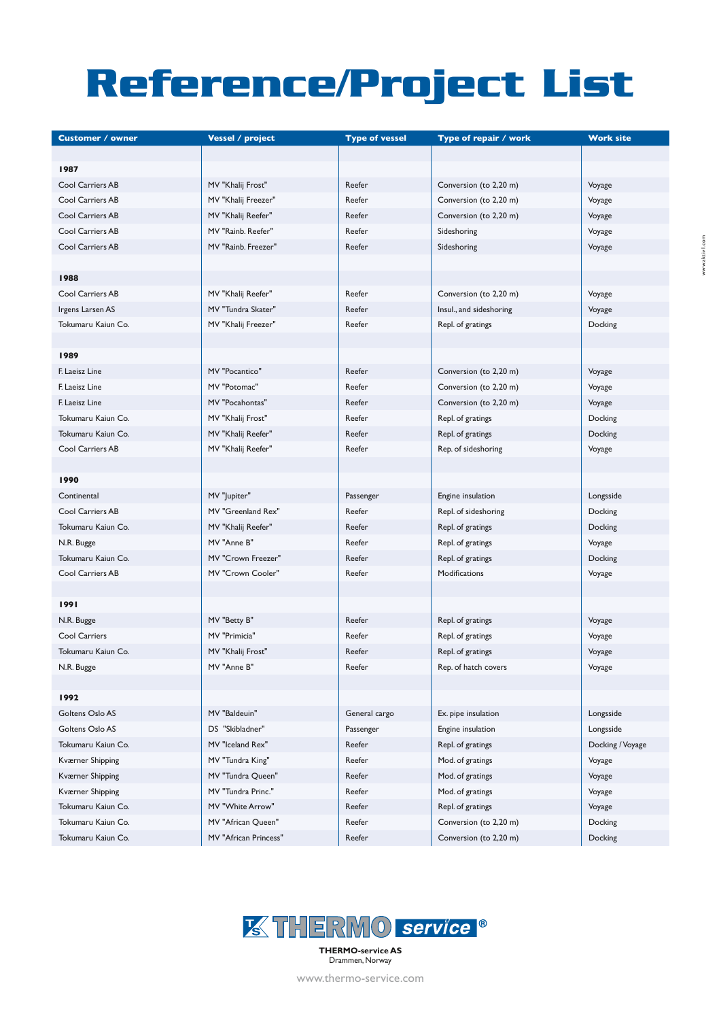## **Reference/Project List**

| <b>Customer / owner</b> | <b>Vessel / project</b> | <b>Type of vessel</b> | Type of repair / work   | <b>Work site</b> |
|-------------------------|-------------------------|-----------------------|-------------------------|------------------|
|                         |                         |                       |                         |                  |
| 1987                    |                         |                       |                         |                  |
| Cool Carriers AB        | MV "Khalij Frost"       | Reefer                | Conversion (to 2,20 m)  | Voyage           |
| Cool Carriers AB        | MV "Khalij Freezer"     | Reefer                | Conversion (to 2,20 m)  | Voyage           |
| Cool Carriers AB        | MV "Khalij Reefer"      | Reefer                | Conversion (to 2,20 m)  | Voyage           |
| Cool Carriers AB        | MV "Rainb. Reefer"      | Reefer                | Sideshoring             | Voyage           |
| <b>Cool Carriers AB</b> | MV "Rainb. Freezer"     | Reefer                | Sideshoring             | Voyage           |
|                         |                         |                       |                         |                  |
| 1988                    |                         |                       |                         |                  |
| Cool Carriers AB        | MV "Khalij Reefer"      | Reefer                | Conversion (to 2,20 m)  | Voyage           |
| Irgens Larsen AS        | MV "Tundra Skater"      | Reefer                | Insul., and sideshoring | Voyage           |
| Tokumaru Kaiun Co.      | MV "Khalij Freezer"     | Reefer                | Repl. of gratings       | Docking          |
|                         |                         |                       |                         |                  |
| 1989                    |                         |                       |                         |                  |
| F. Laeisz Line          | MV "Pocantico"          | Reefer                | Conversion (to 2,20 m)  | Voyage           |
| F. Laeisz Line          | MV "Potomac"            | Reefer                | Conversion (to 2,20 m)  | Voyage           |
| F. Laeisz Line          | MV "Pocahontas"         | Reefer                | Conversion (to 2,20 m)  | Voyage           |
| Tokumaru Kaiun Co.      | MV "Khalij Frost"       | Reefer                | Repl. of gratings       | Docking          |
| Tokumaru Kaiun Co.      | MV "Khalij Reefer"      | Reefer                | Repl. of gratings       | Docking          |
| Cool Carriers AB        | MV "Khalij Reefer"      | Reefer                | Rep. of sideshoring     | Voyage           |
|                         |                         |                       |                         |                  |
| 1990                    |                         |                       |                         |                  |
| Continental             | MV "Jupiter"            | Passenger             | Engine insulation       | Longsside        |
| Cool Carriers AB        | MV "Greenland Rex"      | Reefer                | Repl. of sideshoring    | Docking          |
| Tokumaru Kaiun Co.      | MV "Khalij Reefer"      | Reefer                | Repl. of gratings       | Docking          |
| N.R. Bugge              | MV "Anne B"             | Reefer                | Repl. of gratings       | Voyage           |
| Tokumaru Kaiun Co.      | MV "Crown Freezer"      | Reefer                | Repl. of gratings       | Docking          |
| Cool Carriers AB        | MV "Crown Cooler"       | Reefer                | Modifications           | Voyage           |
|                         |                         |                       |                         |                  |
| 1991                    |                         |                       |                         |                  |
| N.R. Bugge              | MV "Betty B"            | Reefer                | Repl. of gratings       | Voyage           |
| Cool Carriers           | MV "Primicia"           | Reefer                | Repl. of gratings       | Voyage           |
| Tokumaru Kaiun Co.      | MV "Khalij Frost"       | Reefer                | Repl. of gratings       | Voyage           |
| N.R. Bugge              | MV "Anne B"             | Reefer                | Rep. of hatch covers    | Voyage           |
|                         |                         |                       |                         |                  |
| 1992                    |                         |                       |                         |                  |
| Goltens Oslo AS         | MV "Baldeuin"           | General cargo         | Ex. pipe insulation     | Longsside        |
| Goltens Oslo AS         | DS "Skibladner"         | Passenger             | Engine insulation       | Longsside        |
| Tokumaru Kaiun Co.      | MV "Iceland Rex"        | Reefer                | Repl. of gratings       | Docking / Voyage |
| Kværner Shipping        | MV "Tundra King"        | Reefer                | Mod. of gratings        | Voyage           |
| Kværner Shipping        | MV "Tundra Queen"       | Reefer                | Mod. of gratings        | Voyage           |
| Kværner Shipping        | MV "Tundra Princ."      | Reefer                | Mod. of gratings        | Voyage           |
| Tokumaru Kaiun Co.      | MV "White Arrow"        | Reefer                | Repl. of gratings       | Voyage           |
| Tokumaru Kaiun Co.      | MV "African Queen"      | Reefer                | Conversion (to 2,20 m)  | Docking          |
| Tokumaru Kaiun Co.      | MV "African Princess"   | Reefer                | Conversion (to 2,20 m)  | Docking          |



Drammen, Norway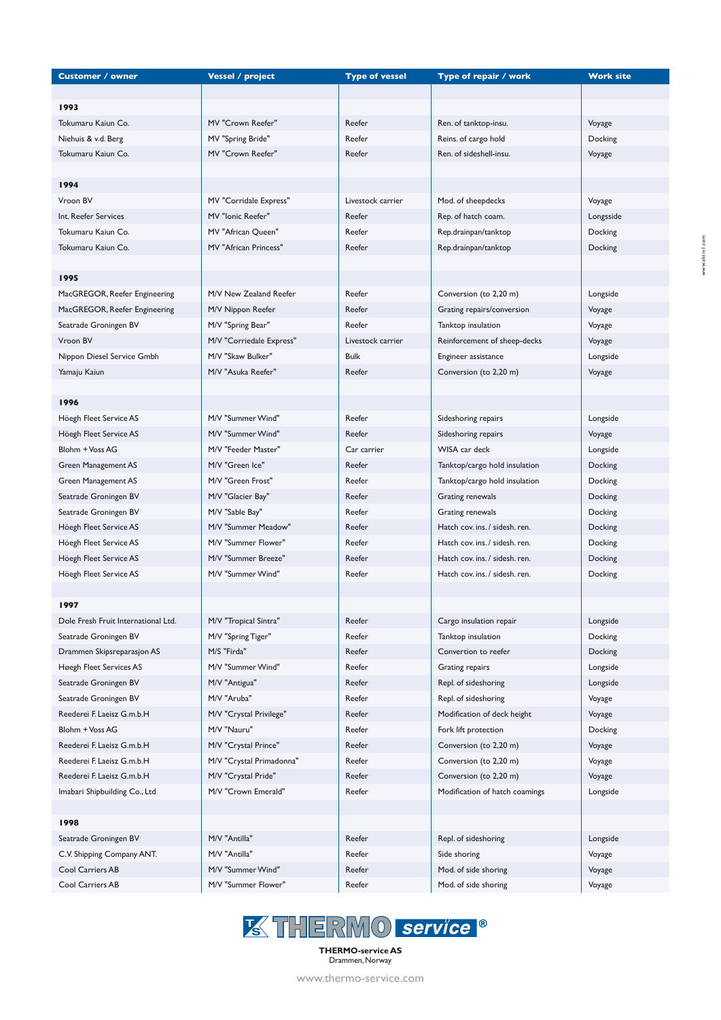| <b>Customer / owner</b>             | <b>Vessel / project</b>  | <b>Type of vessel</b> | Type of repair / work          | <b>Work site</b> |
|-------------------------------------|--------------------------|-----------------------|--------------------------------|------------------|
|                                     |                          |                       |                                |                  |
| 1993                                |                          |                       |                                |                  |
| Tokumaru Kaiun Co.                  | MV "Crown Reefer"        | Reefer                | Ren. of tanktop-insu.          | Voyage           |
| Niehuis & v.d. Berg                 | MV "Spring Bride"        | Reefer                | Reins. of cargo hold           | Docking          |
| Tokumaru Kaiun Co.                  | MV "Crown Reefer"        | Reefer                | Ren. of sideshell-insu.        | Voyage           |
|                                     |                          |                       |                                |                  |
| 1994                                |                          |                       |                                |                  |
| Vroon BV                            | MV "Corridale Express"   | Livestock carrier     | Mod. of sheepdecks             | Voyage           |
| Int. Reefer Services                | MV "Ionic Reefer"        | Reefer                | Rep. of hatch coam.            | Longsside        |
| Tokumaru Kaiun Co.                  | MV "African Queen"       | Reefer                | Rep.drainpan/tanktop           | Docking          |
| Tokumaru Kaiun Co.                  | MV "African Princess"    | Reefer                | Rep.drainpan/tanktop           | Docking          |
|                                     |                          |                       |                                |                  |
| 1995                                |                          |                       |                                |                  |
| MacGREGOR, Reefer Engineering       | M/V New Zealand Reefer   | Reefer                | Conversion (to 2,20 m)         | Longside         |
| MacGREGOR, Reefer Engineering       | M/V Nippon Reefer        | Reefer                | Grating repairs/conversion     | Voyage           |
| Seatrade Groningen BV               | M/V "Spring Bear"        | Reefer                | Tanktop insulation             | Voyage           |
| Vroon BV                            | M/V "Corriedale Express" | Livestock carrier     | Reinforcement of sheep-decks   | Voyage           |
| Nippon Diesel Service Gmbh          | M/V "Skaw Bulker"        | <b>Bulk</b>           | Engineer assistance            | Longside         |
| Yamaju Kaiun                        | M/V "Asuka Reefer"       | Reefer                | Conversion (to 2,20 m)         | Voyage           |
|                                     |                          |                       |                                |                  |
| 1996                                |                          |                       |                                |                  |
| Höegh Fleet Service AS              | M/V "Summer Wind"        | Reefer                | Sideshoring repairs            | Longside         |
| Höegh Fleet Service AS              | M/V "Summer Wind"        | Reefer                | Sideshoring repairs            | Voyage           |
| Blohm + Voss AG                     | M/V "Feeder Master"      | Car carrier           | WISA car deck                  | Longside         |
| Green Management AS                 | M/V "Green Ice"          | Reefer                | Tanktop/cargo hold insulation  | Docking          |
| Green Management AS                 | M/V "Green Frost"        | Reefer                | Tanktop/cargo hold insulation  | Docking          |
| Seatrade Groningen BV               | M/V "Glacier Bay"        | Reefer                | Grating renewals               | Docking          |
| Seatrade Groningen BV               | M/V "Sable Bay"          | Reefer                | Grating renewals               | Docking          |
| Höegh Fleet Service AS              | M/V "Summer Meadow"      | Reefer                | Hatch cov. ins. / sidesh. ren. | Docking          |
| Höegh Fleet Service AS              | M/V "Summer Flower"      | Reefer                | Hatch cov. ins. / sidesh. ren. | Docking          |
| Höegh Fleet Service AS              | M/V "Summer Breeze"      | Reefer                | Hatch cov. ins. / sidesh. ren. | Docking          |
| Höegh Fleet Service AS              | M/V "Summer Wind"        | Reefer                | Hatch cov. ins. / sidesh. ren. | Docking          |
|                                     |                          |                       |                                |                  |
| 1997                                |                          |                       |                                |                  |
| Dole Fresh Fruit International Ltd. | M/V "Tropical Sintra"    | Reefer                | Cargo insulation repair        | Longside         |
| Seatrade Groningen BV               | M/V "Spring Tiger"       | Reefer                | Tanktop insulation             | Docking          |
| Drammen Skipsreparasjon AS          | M/S "Firda"              | Reefer                | Convertion to reefer           | Docking          |
| Høegh Fleet Services AS             | M/V "Summer Wind"        | Reefer                | Grating repairs                | Longside         |
| Seatrade Groningen BV               | M/V "Antigua"            | Reefer                | Repl. of sideshoring           | Longside         |
| Seatrade Groningen BV               | M/V "Aruba"              | Reefer                | Repl. of sideshoring           | Voyage           |
| Reederei F. Laeisz G.m.b.H          | M/V "Crystal Privilege"  | Reefer                | Modification of deck height    | Voyage           |
| Blohm + Voss AG                     | M/V "Nauru"              | Reefer                | Fork lift protection           | Docking          |
| Reederei F. Laeisz G.m.b.H          | M/V "Crystal Prince"     | Reefer                | Conversion (to 2,20 m)         | Voyage           |
| Reederei F. Laeisz G.m.b.H          | M/V "Crystal Primadonna" | Reefer                | Conversion (to 2,20 m)         | Voyage           |
| Reederei F. Laeisz G.m.b.H          | M/V "Crystal Pride"      | Reefer                | Conversion (to 2,20 m)         | Voyage           |
| Imabari Shipbuilding Co., Ltd       | M/V "Crown Emerald"      | Reefer                | Modification of hatch coamings | Longside         |
|                                     |                          |                       |                                |                  |
| 1998                                |                          |                       |                                |                  |
| Seatrade Groningen BV               | M/V "Antilla"            | Reefer                | Repl. of sideshoring           | Longside         |
| C.V. Shipping Company ANT.          | M/V "Antilla"            | Reefer                | Side shoring                   | Voyage           |
| Cool Carriers AB                    | M/V "Summer Wind"        | Reefer                | Mod. of side shoring           | Voyage           |
| Cool Carriers AB                    | M/V "Summer Flower"      | Reefer                | Mod. of side shoring           | Voyage           |



**THERMO-service AS** Drammen, Norway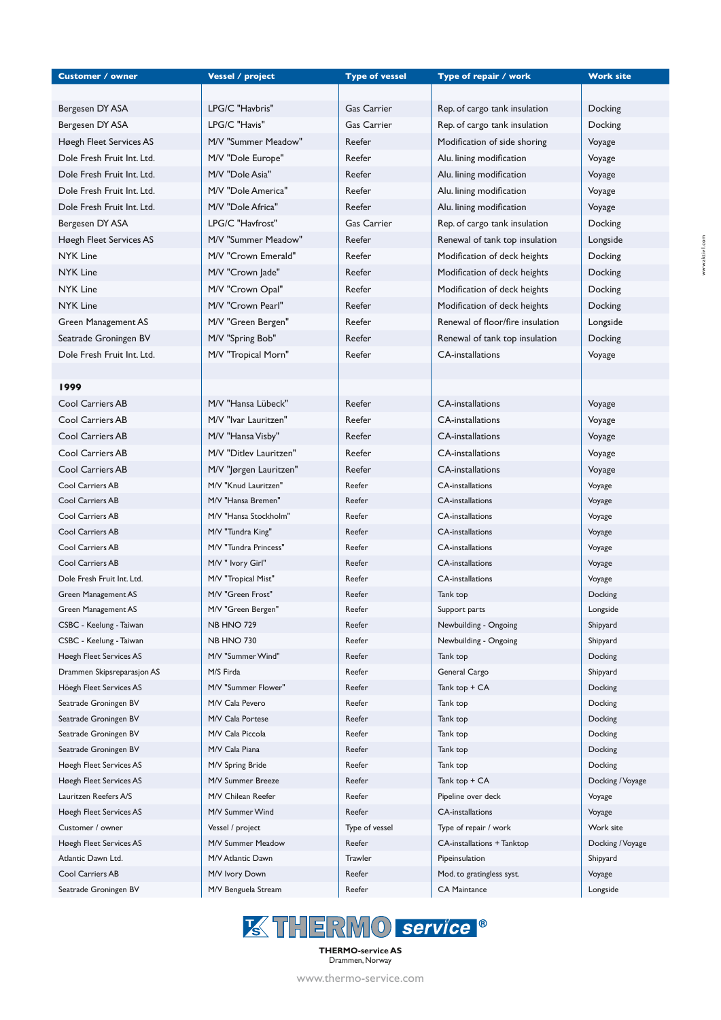| <b>Customer / owner</b>    | <b>Vessel / project</b> | <b>Type of vessel</b> | Type of repair / work            | <b>Work site</b> |
|----------------------------|-------------------------|-----------------------|----------------------------------|------------------|
|                            |                         |                       |                                  |                  |
| Bergesen DY ASA            | LPG/C "Havbris"         | <b>Gas Carrier</b>    | Rep. of cargo tank insulation    | Docking          |
| Bergesen DY ASA            | LPG/C "Havis"           | <b>Gas Carrier</b>    | Rep. of cargo tank insulation    | Docking          |
| Høegh Fleet Services AS    | M/V "Summer Meadow"     | Reefer                | Modification of side shoring     | Voyage           |
| Dole Fresh Fruit Int. Ltd. | M/V "Dole Europe"       | Reefer                | Alu. lining modification         | Voyage           |
| Dole Fresh Fruit Int. Ltd. | M/V "Dole Asia"         | Reefer                | Alu. lining modification         | Voyage           |
| Dole Fresh Fruit Int. Ltd. | M/V "Dole America"      | Reefer                | Alu. lining modification         | Voyage           |
| Dole Fresh Fruit Int. Ltd. | M/V "Dole Africa"       | Reefer                | Alu. lining modification         | Voyage           |
| Bergesen DY ASA            | LPG/C "Havfrost"        | Gas Carrier           | Rep. of cargo tank insulation    | Docking          |
| Høegh Fleet Services AS    | M/V "Summer Meadow"     | Reefer                | Renewal of tank top insulation   | Longside         |
| <b>NYK Line</b>            | M/V "Crown Emerald"     | Reefer                | Modification of deck heights     | Docking          |
| <b>NYK Line</b>            | M/V "Crown Jade"        | Reefer                | Modification of deck heights     | Docking          |
| <b>NYK Line</b>            | M/V "Crown Opal"        | Reefer                | Modification of deck heights     | Docking          |
| <b>NYK Line</b>            | M/V "Crown Pearl"       | Reefer                | Modification of deck heights     | Docking          |
| Green Management AS        | M/V "Green Bergen"      | Reefer                | Renewal of floor/fire insulation | Longside         |
| Seatrade Groningen BV      | M/V "Spring Bob"        | Reefer                | Renewal of tank top insulation   | Docking          |
| Dole Fresh Fruit Int. Ltd. | M/V "Tropical Morn"     | Reefer                | CA-installations                 | Voyage           |
|                            |                         |                       |                                  |                  |
| 1999                       |                         |                       |                                  |                  |
| Cool Carriers AB           | M/V "Hansa Lübeck"      | Reefer                | <b>CA-installations</b>          | Voyage           |
| Cool Carriers AB           | M/V "Ivar Lauritzen"    | Reefer                | <b>CA-installations</b>          | Voyage           |
| Cool Carriers AB           | M/V "Hansa Visby"       | Reefer                | <b>CA-installations</b>          | Voyage           |
| Cool Carriers AB           | M/V "Ditlev Lauritzen"  | Reefer                | <b>CA-installations</b>          | Voyage           |
| Cool Carriers AB           | M/V "Jørgen Lauritzen"  | Reefer                | <b>CA-installations</b>          | Voyage           |
| Cool Carriers AB           | M/V "Knud Lauritzen"    | Reefer                | <b>CA-installations</b>          | Voyage           |
| <b>Cool Carriers AB</b>    | M/V "Hansa Bremen"      | Reefer                | <b>CA-installations</b>          | Voyage           |
| Cool Carriers AB           | M/V "Hansa Stockholm"   | Reefer                | <b>CA-installations</b>          | Voyage           |
| Cool Carriers AB           | M/V "Tundra King"       | Reefer                | <b>CA-installations</b>          | Voyage           |
| Cool Carriers AB           | M/V "Tundra Princess"   | Reefer                | <b>CA-installations</b>          | Voyage           |
| Cool Carriers AB           | M/V " Ivory Girl"       | Reefer                | <b>CA-installations</b>          | Voyage           |
| Dole Fresh Fruit Int. Ltd. | M/V "Tropical Mist"     | Reefer                | <b>CA-installations</b>          | Voyage           |
| Green Management AS        | M/V "Green Frost"       | Reefer                | Tank top                         | Docking          |
| Green Management AS        | M/V "Green Bergen"      | Reefer                | Support parts                    | Longside         |
| CSBC - Keelung - Taiwan    | <b>NB HNO 729</b>       | Reefer                | Newbuilding - Ongoing            | Shipyard         |
| CSBC - Keelung - Taiwan    | <b>NB HNO 730</b>       | Reefer                | Newbuilding - Ongoing            | Shipyard         |
| Høegh Fleet Services AS    | M/V "Summer Wind"       | Reefer                | Tank top                         | Docking          |
| Drammen Skipsreparasjon AS | M/S Firda               | Reefer                | General Cargo                    | Shipyard         |
| Höegh Fleet Services AS    | M/V "Summer Flower"     | Reefer                | Tank top + CA                    | Docking          |
| Seatrade Groningen BV      | M/V Cala Pevero         | Reefer                | Tank top                         | Docking          |
| Seatrade Groningen BV      | M/V Cala Portese        | Reefer                | Tank top                         | Docking          |
| Seatrade Groningen BV      | M/V Cala Piccola        | Reefer                | Tank top                         | Docking          |
| Seatrade Groningen BV      | M/V Cala Piana          | Reefer                | Tank top                         | Docking          |
| Høegh Fleet Services AS    | M/V Spring Bride        | Reefer                | Tank top                         | Docking          |
| Høegh Fleet Services AS    | M/V Summer Breeze       | Reefer                | Tank top + CA                    | Docking / Voyage |
| Lauritzen Reefers A/S      | M/V Chilean Reefer      | Reefer                | Pipeline over deck               | Voyage           |
| Høegh Fleet Services AS    | M/V Summer Wind         | Reefer                | <b>CA-installations</b>          | Voyage           |
| Customer / owner           | Vessel / project        | Type of vessel        | Type of repair / work            | Work site        |
| Høegh Fleet Services AS    | M/V Summer Meadow       | Reefer                | CA-installations + Tanktop       | Docking / Voyage |
| Atlantic Dawn Ltd.         | M/V Atlantic Dawn       | Trawler               | Pipeinsulation                   | Shipyard         |
| Cool Carriers AB           | M/V Ivory Down          | Reefer                | Mod. to gratingless syst.        | Voyage           |
| Seatrade Groningen BV      | M/V Benguela Stream     | Reefer                | <b>CA Maintance</b>              | Longside         |



**THERMO-service AS** Drammen, Norway